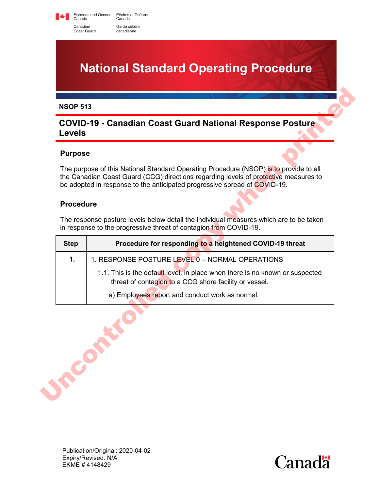Fisheries and Oceans Pêches et Océans<br>Canada Canada Canadian Garde côtière Coast Guard canadienne

**National Standard Operating Procedure**

#### **NSOP 513**

# **COVID-19 - Canadian Coast Guard National Response Posture Levels**

### **Purpose**

### **Procedure**

| <b>Procedure</b><br>The response posture levels below detail the individual measures which are to be taken<br>in response to the progressive threat of contagion from COVID-19. | The purpose of this National Standard Operating Procedure (NSOP) is to provide to all<br>the Canadian Coast Guard (CCG) directions regarding levels of protective measures to<br>be adopted in response to the anticipated progressive spread of COVID-19. |  |
|---------------------------------------------------------------------------------------------------------------------------------------------------------------------------------|------------------------------------------------------------------------------------------------------------------------------------------------------------------------------------------------------------------------------------------------------------|--|
|                                                                                                                                                                                 |                                                                                                                                                                                                                                                            |  |
|                                                                                                                                                                                 |                                                                                                                                                                                                                                                            |  |
| <b>Step</b>                                                                                                                                                                     | Procedure for responding to a heightened COVID-19 threat                                                                                                                                                                                                   |  |
| $\mathbf{1}$ .<br>1. RESPONSE POSTURE LEVEL 0 - NORMAL OPERATIONS                                                                                                               |                                                                                                                                                                                                                                                            |  |
| 1.1. This is the default level, in place when there is no known or suspected<br>threat of contagion to a CCG shore facility or vessel.                                          |                                                                                                                                                                                                                                                            |  |
| a) Employees report and conduct work as normal.                                                                                                                                 |                                                                                                                                                                                                                                                            |  |

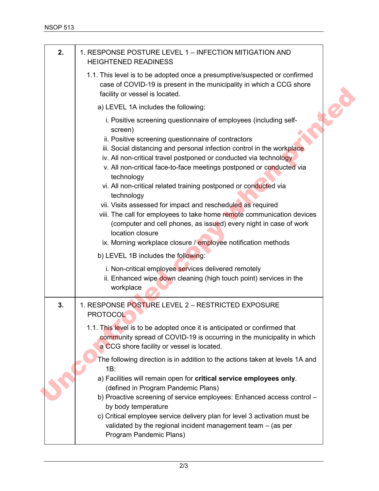| 2. | 1. RESPONSE POSTURE LEVEL 1 - INFECTION MITIGATION AND<br><b>HEIGHTENED READINESS</b>                                                                                                                                                                                                                                                                                                                                                                                                                                                                                                                                                                                                                                                                         |
|----|---------------------------------------------------------------------------------------------------------------------------------------------------------------------------------------------------------------------------------------------------------------------------------------------------------------------------------------------------------------------------------------------------------------------------------------------------------------------------------------------------------------------------------------------------------------------------------------------------------------------------------------------------------------------------------------------------------------------------------------------------------------|
|    | 1.1. This level is to be adopted once a presumptive/suspected or confirmed<br>case of COVID-19 is present in the municipality in which a CCG shore<br>facility or vessel is located.                                                                                                                                                                                                                                                                                                                                                                                                                                                                                                                                                                          |
|    | a) LEVEL 1A includes the following:                                                                                                                                                                                                                                                                                                                                                                                                                                                                                                                                                                                                                                                                                                                           |
|    | i. Positive screening questionnaire of employees (including self-<br>screen)<br>ii. Positive screening questionnaire of contractors<br>iii. Social distancing and personal infection control in the workplace<br>iv. All non-critical travel postponed or conducted via technology<br>v. All non-critical face-to-face meetings postponed or conducted via<br>technology<br>vi. All non-critical related training postponed or conducted via<br>technology<br>vii. Visits assessed for impact and rescheduled as required<br>viii. The call for employees to take home remote communication devices<br>(computer and cell phones, as issued) every night in case of work<br>location closure<br>ix. Morning workplace closure / employee notification methods |
|    | b) LEVEL 1B includes the following:<br>i. Non-critical employee services delivered remotely<br>ii. Enhanced wipe down cleaning (high touch point) services in the<br>workplace                                                                                                                                                                                                                                                                                                                                                                                                                                                                                                                                                                                |
| 3. | 1. RESPONSE POSTURE LEVEL 2 - RESTRICTED EXPOSURE<br><b>PROTOCOL</b>                                                                                                                                                                                                                                                                                                                                                                                                                                                                                                                                                                                                                                                                                          |
|    | 1.1. This level is to be adopted once it is anticipated or confirmed that<br>community spread of COVID-19 is occurring in the municipality in which<br>a CCG shore facility or vessel is located.                                                                                                                                                                                                                                                                                                                                                                                                                                                                                                                                                             |
|    | The following direction is in addition to the actions taken at levels 1A and<br>1B:                                                                                                                                                                                                                                                                                                                                                                                                                                                                                                                                                                                                                                                                           |